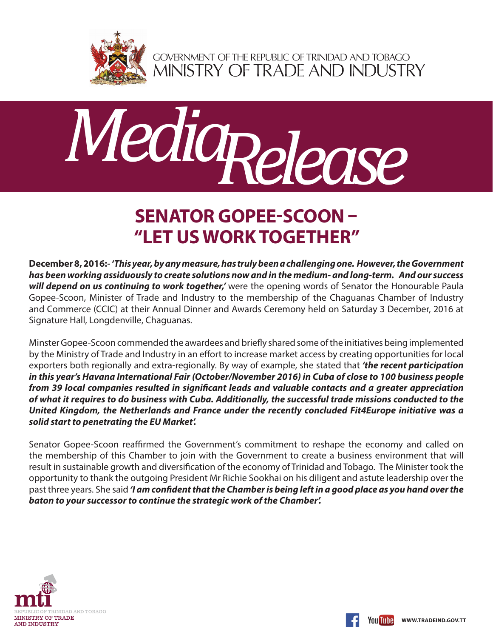

GOVERNMENT OF THE REPUBLIC OF TRINIDAD AND TOBAGO<br>MINISTRY OF TRADE AND INDUSTRY



## **SENATOR GOPEE-SCOON – "LET US WORK TOGETHER"**

**December 8, 2016:-** *'This year, by any measure, has truly been a challenging one. However, the Government has been working assiduously to create solutions now and in the medium- and long-term. And our success*  will depend on us continuing to work together,' were the opening words of Senator the Honourable Paula Gopee-Scoon, Minister of Trade and Industry to the membership of the Chaguanas Chamber of Industry and Commerce (CCIC) at their Annual Dinner and Awards Ceremony held on Saturday 3 December, 2016 at Signature Hall, Longdenville, Chaguanas.

Minster Gopee-Scoon commended the awardees and briefly shared some of the initiatives being implemented by the Ministry of Trade and Industry in an effort to increase market access by creating opportunities for local exporters both regionally and extra-regionally. By way of example, she stated that *'the recent participation in this year's Havana International Fair (October/November 2016) in Cuba of close to 100 business people from 39 local companies resulted in significant leads and valuable contacts and a greater appreciation of what it requires to do business with Cuba. Additionally, the successful trade missions conducted to the United Kingdom, the Netherlands and France under the recently concluded Fit4Europe initiative was a solid start to penetrating the EU Market'.* 

Senator Gopee-Scoon reaffirmed the Government's commitment to reshape the economy and called on the membership of this Chamber to join with the Government to create a business environment that will result in sustainable growth and diversification of the economy of Trinidad and Tobago. The Minister took the opportunity to thank the outgoing President Mr Richie Sookhai on his diligent and astute leadership over the past three years. She said *'I am confident that the Chamber is being left in a good place as you hand over the baton to your successor to continue the strategic work of the Chamber'.*